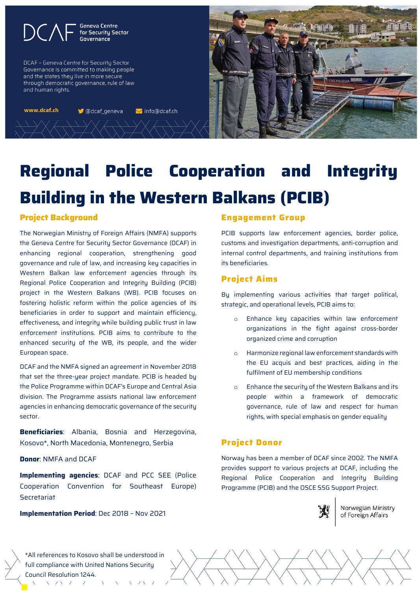**Geneva Centre** for Security Sector Governance

DCAF - Geneva Centre for Security Sector Governance is committed to making people and the states they live in more secure through democratic governance, rule of law and human rights.

www.dcaf.ch

**S** @dcaf\_geneva **▽** info@dcaf.ch



# **Regional Police Cooperation and Integrity Building in the Western Balkans (PCIB)**

#### **Project Background**

The Norwegian Ministry of Foreign Affairs (NMFA) supports the Geneva Centre for Security Sector Governance (DCAF) in enhancing regional cooperation, strengthening good governance and rule of law, and increasing key capacities in Western Balkan law enforcement agencies through its Regional Police Cooperation and Integrity Building (PCIB) project in the Western Balkans (WB). PCIB focuses on fostering holistic reform within the police agencies of its beneficiaries in order to support and maintain efficiency, effectiveness, and integrity while building public trust in law enforcement institutions. PCIB aims to contribute to the enhanced security of the WB, its people, and the wider European space.

DCAF and the NMFA signed an agreement in November 2018 that set the three-year project mandate. PCIB is headed by the Police Programme within DCAF's Europe and Central Asia division. The Programme assists national law enforcement agencies in enhancing democratic governance of the security sector.

**Beneficiaries**: Albania, Bosnia and Herzegovina, Kosovo\*, North Macedonia, Montenegro, Serbia

**Donor**: NMFA and DCAF

**Implementing agencies**: DCAF and PCC SEE (Police Cooperation Convention for Southeast Europe) Secretariat

**Implementation Period**: Dec 2018 – Nov 2021

#### **Engagement Group**

PCIB supports law enforcement agencies, border police, customs and investigation departments, anti-corruption and internal control departments, and training institutions from its beneficiaries.

#### **Project Aims**

By implementing various activities that target political, strategic, and operational levels, PCIB aims to:

- Enhance key capacities within law enforcement organizations in the fight against cross-border organized crime and corruption
- o Harmonize regional law enforcement standards with the EU acquis and best practices, aiding in the fulfilment of EU membership conditions
- o Enhance the security of the Western Balkans and its people within a framework of democratic governance, rule of law and respect for human rights, with special emphasis on gender equality

# **Project Donor**

Norway has been a member of DCAF since 2002. The NMFA provides support to various projects at DCAF, including the Regional Police Cooperation and Integrity Building Programme (PCIB) and the OSCE SSG Support Project.



Norwegian Ministry of Foreign Affairs

\*All references to Kosovo shall be understood in full compliance with United Nations Security Council Resolution 1244.